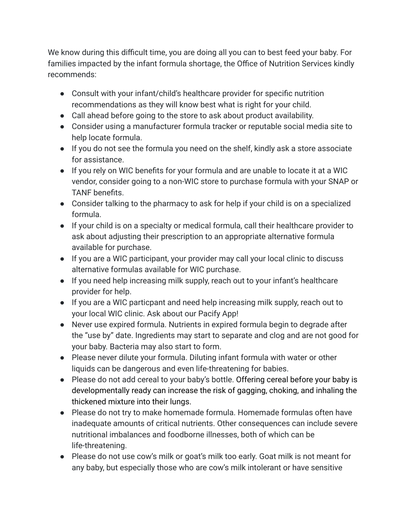We know during this difficult time, you are doing all you can to best feed your baby. For families impacted by the infant formula shortage, the Office of Nutrition Services kindly recommends:

- Consult with your infant/child's healthcare provider for specific nutrition recommendations as they will know best what is right for your child.
- Call ahead before going to the store to ask about product availability.
- Consider using a manufacturer formula tracker or reputable social media site to help locate formula.
- If you do not see the formula you need on the shelf, kindly ask a store associate for assistance.
- If you rely on WIC benefits for your formula and are unable to locate it at a WIC vendor, consider going to a non-WIC store to purchase formula with your SNAP or TANF benefits.
- Consider talking to the pharmacy to ask for help if your child is on a specialized formula.
- If your child is on a specialty or medical formula, call their healthcare provider to ask about adjusting their prescription to an appropriate alternative formula available for purchase.
- If you are a WIC participant, your provider may call your local clinic to discuss alternative formulas available for WIC purchase.
- If you need help increasing milk supply, reach out to your infant's healthcare provider for help.
- If you are a WIC particpant and need help increasing milk supply, reach out to your local WIC clinic. Ask about our Pacify App!
- Never use expired formula. Nutrients in expired formula begin to degrade after the "use by" date. Ingredients may start to separate and clog and are not good for your baby. Bacteria may also start to form.
- Please never dilute your formula. Diluting infant formula with water or other liquids can be dangerous and even life-threatening for babies.
- Please do not add cereal to your baby's bottle. Offering cereal before your baby is developmentally ready can increase the risk of gagging, choking, and inhaling the thickened mixture into their lungs.
- Please do not try to make homemade formula. Homemade formulas often have inadequate amounts of critical nutrients. Other consequences can include severe nutritional imbalances and foodborne illnesses, both of which can be life-threatening.
- Please do not use cow's milk or goat's milk too early. Goat milk is not meant for any baby, but especially those who are cow's milk intolerant or have sensitive